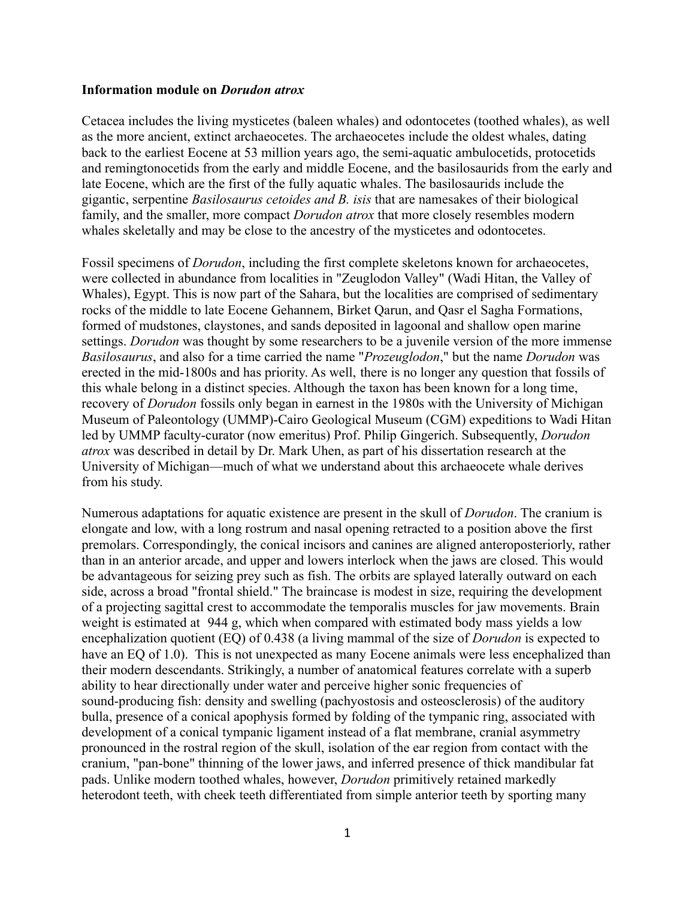## **Information module on** *Dorudon atrox*

Cetacea includes the living mysticetes (baleen whales) and odontocetes (toothed whales), as well as the more ancient, extinct archaeocetes. The archaeocetes include the oldest whales, dating back to the earliest Eocene at 53 million years ago, the semi-aquatic ambulocetids, protocetids and remingtonocetids from the early and middle Eocene, and the basilosaurids from the early and late Eocene, which are the first of the fully aquatic whales. The basilosaurids include the gigantic, serpentine *Basilosaurus cetoides and B. isis* that are namesakes of their biological family, and the smaller, more compact *Dorudon atrox* that more closely resembles modern whales skeletally and may be close to the ancestry of the mysticetes and odontocetes.

Fossil specimens of *Dorudon*, including the first complete skeletons known for archaeocetes, were collected in abundance from localities in "Zeuglodon Valley" (Wadi Hitan, the Valley of Whales), Egypt. This is now part of the Sahara, but the localities are comprised of sedimentary rocks of the middle to late Eocene Gehannem, Birket Qarun, and Qasr el Sagha Formations, formed of mudstones, claystones, and sands deposited in lagoonal and shallow open marine settings. *Dorudon* was thought by some researchers to be a juvenile version of the more immense *Basilosaurus*, and also for a time carried the name "*Prozeuglodon*," but the name *Dorudon* was erected in the mid-1800s and has priority. As well, there is no longer any question that fossils of this whale belong in a distinct species. Although the taxon has been known for a long time, recovery of *Dorudon* fossils only began in earnest in the 1980s with the University of Michigan Museum of Paleontology (UMMP)-Cairo Geological Museum (CGM) expeditions to Wadi Hitan led by UMMP faculty-curator (now emeritus) Prof. Philip Gingerich. Subsequently, *Dorudon atrox* was described in detail by Dr. Mark Uhen, as part of his dissertation research at the University of Michigan—much of what we understand about this archaeocete whale derives from his study.

Numerous adaptations for aquatic existence are present in the skull of *Dorudon*. The cranium is elongate and low, with a long rostrum and nasal opening retracted to a position above the first premolars. Correspondingly, the conical incisors and canines are aligned anteroposteriorly, rather than in an anterior arcade, and upper and lowers interlock when the jaws are closed. This would be advantageous for seizing prey such as fish. The orbits are splayed laterally outward on each side, across a broad "frontal shield." The braincase is modest in size, requiring the development of a projecting sagittal crest to accommodate the temporalis muscles for jaw movements. Brain weight is estimated at 944 g, which when compared with estimated body mass yields a low encephalization quotient (EQ) of 0.438 (a living mammal of the size of *Dorudon* is expected to have an EQ of 1.0). This is not unexpected as many Eocene animals were less encephalized than their modern descendants. Strikingly, a number of anatomical features correlate with a superb ability to hear directionally under water and perceive higher sonic frequencies of sound-producing fish: density and swelling (pachyostosis and osteosclerosis) of the auditory bulla, presence of a conical apophysis formed by folding of the tympanic ring, associated with development of a conical tympanic ligament instead of a flat membrane, cranial asymmetry pronounced in the rostral region of the skull, isolation of the ear region from contact with the cranium, "pan-bone" thinning of the lower jaws, and inferred presence of thick mandibular fat pads. Unlike modern toothed whales, however, *Dorudon* primitively retained markedly heterodont teeth, with cheek teeth differentiated from simple anterior teeth by sporting many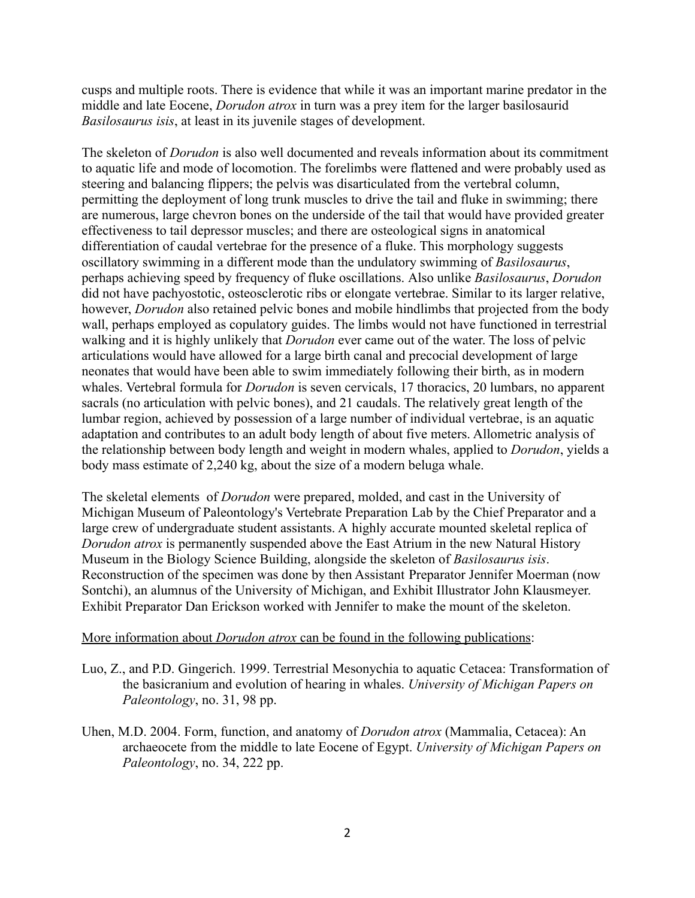cusps and multiple roots. There is evidence that while it was an important marine predator in the middle and late Eocene, *Dorudon atrox* in turn was a prey item for the larger basilosaurid *Basilosaurus isis*, at least in its juvenile stages of development.

The skeleton of *Dorudon* is also well documented and reveals information about its commitment to aquatic life and mode of locomotion. The forelimbs were flattened and were probably used as steering and balancing flippers; the pelvis was disarticulated from the vertebral column, permitting the deployment of long trunk muscles to drive the tail and fluke in swimming; there are numerous, large chevron bones on the underside of the tail that would have provided greater effectiveness to tail depressor muscles; and there are osteological signs in anatomical differentiation of caudal vertebrae for the presence of a fluke. This morphology suggests oscillatory swimming in a different mode than the undulatory swimming of *Basilosaurus*, perhaps achieving speed by frequency of fluke oscillations. Also unlike *Basilosaurus*, *Dorudon* did not have pachyostotic, osteosclerotic ribs or elongate vertebrae. Similar to its larger relative, however, *Dorudon* also retained pelvic bones and mobile hindlimbs that projected from the body wall, perhaps employed as copulatory guides. The limbs would not have functioned in terrestrial walking and it is highly unlikely that *Dorudon* ever came out of the water. The loss of pelvic articulations would have allowed for a large birth canal and precocial development of large neonates that would have been able to swim immediately following their birth, as in modern whales. Vertebral formula for *Dorudon* is seven cervicals, 17 thoracics, 20 lumbars, no apparent sacrals (no articulation with pelvic bones), and 21 caudals. The relatively great length of the lumbar region, achieved by possession of a large number of individual vertebrae, is an aquatic adaptation and contributes to an adult body length of about five meters. Allometric analysis of the relationship between body length and weight in modern whales, applied to *Dorudon*, yields a body mass estimate of 2,240 kg, about the size of a modern beluga whale.

The skeletal elements of *Dorudon* were prepared, molded, and cast in the University of Michigan Museum of Paleontology's Vertebrate Preparation Lab by the Chief Preparator and a large crew of undergraduate student assistants. A highly accurate mounted skeletal replica of *Dorudon atrox* is permanently suspended above the East Atrium in the new Natural History Museum in the Biology Science Building, alongside the skeleton of *Basilosaurus isis*. Reconstruction of the specimen was done by then Assistant Preparator Jennifer Moerman (now Sontchi), an alumnus of the University of Michigan, and Exhibit Illustrator John Klausmeyer. Exhibit Preparator Dan Erickson worked with Jennifer to make the mount of the skeleton.

## More information about *Dorudon atrox* can be found in the following publications:

- Luo, Z., and P.D. Gingerich. 1999. Terrestrial Mesonychia to aquatic Cetacea: Transformation of the basicranium and evolution of hearing in whales. *University of Michigan Papers on Paleontology*, no. 31, 98 pp.
- Uhen, M.D. 2004. Form, function, and anatomy of *Dorudon atrox* (Mammalia, Cetacea): An archaeocete from the middle to late Eocene of Egypt. *University of Michigan Papers on Paleontology*, no. 34, 222 pp.